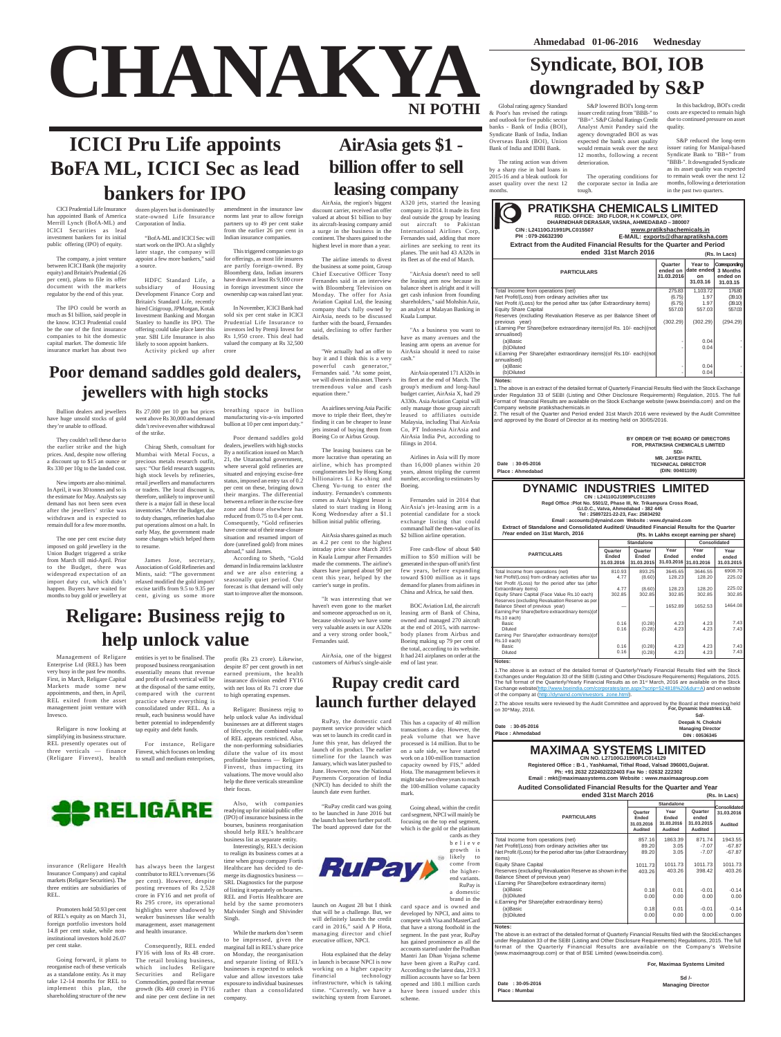**CHANAKYA**

**NI POTHI**

# **ICICI Pru Life appoints BoFA ML, ICICI Sec as lead bankers for IPO**

**AirAsia gets \$1 -**

**billion offer to sell**

# **Syndicate, BOI, IOB downgraded by S&P**

**Date : 30-05-2016 Place : Mumbai**

| Audited Consolidated Financial Results for the Quarter and Year<br>ended 31st March 2016<br>(Rs. In Lacs) |                                           |                                        |                                                  |                                              |  |  |  |
|-----------------------------------------------------------------------------------------------------------|-------------------------------------------|----------------------------------------|--------------------------------------------------|----------------------------------------------|--|--|--|
|                                                                                                           |                                           | <b>Standalone</b>                      |                                                  | Consolidated<br>31.03.2016<br><b>Audited</b> |  |  |  |
| <b>PARTICULARS</b>                                                                                        | Quarter<br>Ended<br>31.03.2016<br>Audited | Year<br>Ended<br>31.03.2016<br>Audited | Quarter<br>ended<br>31.03.2015<br><b>Audited</b> |                                              |  |  |  |
| Total Income from operations (net)                                                                        | 857.16                                    | 1863.39                                | 871.74                                           | 1943.55                                      |  |  |  |
| Net Profit/(Loss) from ordinary activities after tax                                                      | 89.20                                     | 3.05                                   | -7.07                                            | $-67.87$                                     |  |  |  |
| Net Profit /(Loss) for the period after tax (after Extraordinary<br>items)                                | 89.20                                     | 3.05                                   | $-7.07$                                          | $-67.87$                                     |  |  |  |
| <b>Equity Share Capital</b>                                                                               | 1011.73                                   | 1011.73                                | 1011.73                                          | 1011.73                                      |  |  |  |
| Reserves (excluding Revaluation Reserve as shown in the<br>Balance Sheet of previous year)                | 403.26                                    | 403.26                                 | 398.42                                           | 403.26                                       |  |  |  |
| i. Earning Per Share(before extraordinary items)                                                          |                                           |                                        |                                                  |                                              |  |  |  |
| (a)Basic                                                                                                  | 0.18                                      | 0.01                                   | $-0.01$                                          | $-0.14$                                      |  |  |  |
| (b)Diluted                                                                                                | 0.00                                      | 0.00                                   | 0.00                                             | 0.00                                         |  |  |  |
| ii. Earning Per Share (after extraordinary items)                                                         |                                           |                                        |                                                  |                                              |  |  |  |
| (a)Basic                                                                                                  | 0.18                                      | 0.01                                   | $-0.01$                                          | $-0.14$                                      |  |  |  |
| (b)Diluted                                                                                                | 0.00                                      | 0.00                                   | 0.00                                             | 0.00                                         |  |  |  |

#### **Notes:**

The above is an extract of the detailed format of Quarterly Financial Results filed with the StockExchanges under Regulation 33 of the SEBI (Listing and Other Disclosure Requirements) Regulations, 2015. The full format of the Quarterly Financial Results are available on the Company's Website (www.maximaagroup.com) or that of BSE Limited (www.bseindia.com).

> **For, Maximaa Systems Limited Sd /- Managing Director**

**Ph: +91 2632 222402/222403 Fax No : 02632 222302 Email : mkt@maximaasystems.com Website : www.maximaagroup.com Registered Office : B-1 , Yashkamal, Tithal Road, Valsad 396001,Gujarat.**

### **MAXIMAA SYSTEMS LIMITED CIN NO. L27100GJ1990PLC014129**

CICI Prudential Life Insurance has appointed Bank of America Merrill Lynch (BofA-ML) and ICICI Securities as lead investment bankers for its initial public offering (IPO) of equity.

The company, a joint venture between ICICI Bank (the majority equity) and Britain's Prudential (26 per cent), plans to file its offer document with the markets regulator by the end of this year.

The IPO could be worth as much as \$1 billion, said people in the know. ICICI Prudential could be the one of the first insurance companies to hit the domestic capital market. The domestic life insurance market has about two

"BofA-ML and ICICI Sec will start work on the IPO. At a slightly later stage, the company will appoint a few more bankers," said a source.

dozen players but is dominated by state-owned Life Insurance Corporation of India. amendment in the insurance law norms last year to allow foreign partners up to 49 per cent stake from the earlier 26 per cent in

HDFC Standard Life, a subsidiary of Housing Development Finance Corp and Britain's Standard Life, recently hired Citigroup, JPMorgan, Kotak Investment Banking and Morgan Stanley to handle its IPO. The offering could take place later this year. SBI Life Insurance is also Indian insurance companies.

likely to soon appoint bankers. Rs 1,950 crore. This deal had valued the company at Rs 32,500

This triggered companies to go for offerings, as most life insurers are partly foreign-owned. By Bloomberg data, Indian insurers have drawn at least Rs 9,100 crore in foreign investment since the ownership cap was raised last year.

Activity picked up after crore

In November, ICICI Bank had sold six per cent stake in ICICI Prudential Life Insurance to investors led by Premji Invest for

Bullion dealers and jewellers have huge unsold stocks of gold they're unable to offload.

They couldn't sell these due to the earlier strike and the high prices. And, despite now offering a discount up to \$15 an ounce or Rs 330 per 10g to the landed cost.

New imports are also minimal. In April, it was 30 tonnes and so is the estimate for May. Analysts say demand has not been seen even after the jewellers' strike was withdrawn and is expected to remain dull for a few more months.

The one per cent excise duty imposed on gold jewellery in the Union Budget triggered a strike from March till mid-April. Prior to the Budget, there was widespread expectation of an import duty cut, which didn't happen. Buyers have waited for

Chirag Sheth, consultant for Mumbai with Metal Focus, a precious metals research outfit, says: "Our field research suggests high stock levels by refineries, retail jewellers and manufacturers or traders. The local discount is, therefore, unlikely to improve until there is a major fall in these local inventories." After the Budget, due to duty changes, refineries had also put operations almost on a halt. In early May, the government made some changes which helped them

Rs 27,000 per 10 gm but prices went above Rs 30,000 and demand didn't revive even after withdrawal of the strike. breathing space in bullion

to resume.

manufacturing vis-a-vis imported bullion at 10 per cent import duty." Poor demand saddles gold

James Jose, secretary, Association of Gold Refineries and Mints, said: "The government relaxed modified the gold import/ excise tariffs from 9.5 to 9.35 per According to Sheth, "Gold demand in India remains lacklustre and we are also entering a seasonally quiet period. Our forecast is that demand will only start to improve after the monsoon.

dealers, jewellers with high stocks By a notification issued on March 21, the Uttaranchal government, where several gold refineries are situated and enjoying excise-free status, imposed an entry tax of 0.2 per cent on these, bringing down their margins. The differential between a refiner in the excise-free zone and those elsewhere has reduced from 0.75 to 0.4 per cent. Consequently, "Gold refineries have come out of their near-closure situation and resumed import of dore (unrefined gold) from mines abroad," said James.

**leasing company** A320 jets, started the leasing company in 2014. It made its first deal outside the group by leasing out aircraft to Pakistan International Airlines Corp, Fernandes said, adding that more airlines are seeking to rent its planes. The unit had 43 A320s in its fleet as of the end of March.

**Poor demand saddles gold dealers, jewellers with high stocks**

Management of Religare Enterprise Ltd (REL) has been very busy in the past few months. First, in March, Religare Capital Markets made some new appointments, and then, in April, REL exited from the asset management joint venture with Invesco.

Religare is now looking at simplifying its business structure. REL presently operates out of three verticals — finance (Religare Finvest), health

**E**RELIGARE

insurance (Religare Health Insurance Company) and capital markets (Religare Securities). The three entities are subsidiaries of REL.

Promoters hold 50.93 per cent of REL's equity as on March 31, foreign portfolio investors hold 14.8 per cent stake, while noninstitutional investors hold 26.07 per cent stake.

Going forward, it plans to reorganise each of these verticals as a standalone entity. As it may take 12-14 months for REL to implement this plan, the shareholding structure of the new

entities is yet to be finalised. The proposed business reorganisation essentially means that revenue and profit of each vertical will be at the disposal of the same entity, compared with the current practice where everything is consolidated under REL. As a result, each business would have better potential to independently tap equity and debt funds.

For instance, Religare Finvest, which focuses on lending to small and medium enterprises,

has always been the largest contributor to REL's revenues (56 per cent). However, despite posting revenues of Rs 2,528 crore in FY16 and net profit of Rs 295 crore, its operational highlights were shadowed by weaker businesses like wealth management, asset management and health insurance.

Consequently, REL ended FY16 with loss of Rs 48 crore. The retail broking business, which includes Religare Securities and Religare Commodities, posted flat revenue growth (Rs 469 crore) in FY16 and nine per cent decline in net

profit (Rs 23 crore). Likewise, despite 87 per cent growth in net earned premium, the health insurance division ended FY16 with net loss of Rs 71 crore due to high operating expenses.

Religare: Business rejig to help unlock value As individual businesses are at different stages of lifecycle, the combined value of REL appears restricted. Also, the non-performing subsidiaries dilute the value of its most profitable business — Religare Finvest, thus impacting its valuations. The move would also help the three verticals streamline their focus.

Also, with companies readying up for initial public offer (IPO) of insurance business in the bourses, business reorganisation should help REL's healthcare business list as separate entity.

Interestingly, REL's decision to realign its business comes at a time when group company Fortis Healthcare has decided to demerge its diagnostics business — SRL Diagnostics for the purpose of listing it separately on bourses. REL and Fortis Healthcare are held by the same promoters Malvinder Singh and Shivinder Singh.

While the markets don't seem to be impressed, given the marginal fall in REL's share price on Monday, the reorganisation and separate listing of REL's

company.

# **Religare: Business rejig to help unlock value**

AirAsia, the region's biggest discount carrier, received an offer valued at about \$1 billion to buy its aircraft-leasing company amid a surge in the business in the continent. The shares gained to the highest level in more than a year.

The airline intends to divest the business at some point, Group Chief Executive Officer Tony Fernandes said in an interview with Bloomberg Television on Monday. The offer for Asia Aviation Capital Ltd, the leasing company that's fully owned by AirAsia, needs to be discussed further with the board, Fernandes said, declining to offer further

"We actually had an offer to buy it and I think this is a very powerful cash generator," Fernandes said. "At some point, we will divest in this asset. There's tremendous value and cash

equation there."

As airlines serving Asia Pacific move to triple their fleet, they're finding it can be cheaper to lease jets instead of buying them from Boeing Co or Airbus Group.

details

The leasing business can be more lucrative than operating an airline, which has prompted conglomerates led by Hong Kong billionaires Li Ka-shing and Cheng Yu-tung to enter the industry. Fernandes's comments comes as Asia's biggest lessor is slated to start trading in Hong Kong Wednesday after a \$1.1 billion initial public offering.

AirAsia shares gained as much as 4.2 per cent to the highest intraday price since March 2015 in Kuala Lumpur after Fernandes made the comments. The airline's shares have jumped about 90 per cent this year, helped by the carrier's surge in profits.

"AirAsia doesn't need to sell the leasing arm now because its balance sheet is alright and it will get cash infusion from founding shareholders," said Mohshin Aziz, an analyst at Malayan Banking in Kuala Lumpur.

months to buy gold or jewellery at cent, giving us some more

"As a business you want to have as many avenues and the leasing arm opens an avenue for AirAsia should it need to raise cash."

"It was interesting that we China and Africa, he said then.

AirAsia operated 171 A320s in

haven't even gone to the market and someone approached us on it, because obviously we have some very valuable assets in our A320s and a very strong order book," Fernandes said. BOC Aviation Ltd, the aircraft leasing arm of Bank of China, owned and managed 270 aircraft at the end of 2015, with narrowbody planes from Airbus and Boeing making up 79 per cent of the total, according to its website.

its fleet at the end of March. The group's medium and long-haul budget carrier, AirAsia X, had 29 A330s. Asia Aviation Capital will only manage those group aircraft leased to affiliates outside Malaysia, including Thai AirAsia Co, PT Indonesia AirAsia and AirAsia India Pvt, according to filings in 2014.

AirAsia, one of the biggest customers of Airbus's single-aisle It had 241 airplanes on order at the end of last year.

Airlines in Asia will fly more than 16,000 planes within 20 years, almost tripling the current number, according to estimates by Boeing.

Fernandes said in 2014 that AirAsia's jet-leasing arm is a potential candidate for a stock exchange listing that could command half the then-value of its \$2 billion airline operation.

Free cash-flow of about \$40 million to \$50 million will be generated in the spun-off unit's first few years, before expanding toward \$100 million as it taps demand for planes from airlines in

**Date : 30-05-2016 Place : Ahmedabad**

**Extract of Standalone and Consolidated Audited/ Unaudited Financial Results for the Quarter**

**Notes:**

businesses is expected to unlock value and allow investors take exposure to individual businesses rather than a consolidated working on a higher capacity financial technology infrastructure, which is taking time. "Currently, we have a switching system from Euronet.

| <b>Year ended on 31st March, 2016</b>                                                                      | (Rs. In Lakhs except earning per share) |                                |               |                                        |                             |
|------------------------------------------------------------------------------------------------------------|-----------------------------------------|--------------------------------|---------------|----------------------------------------|-----------------------------|
|                                                                                                            | <b>Standalone</b>                       |                                |               | <b>Consolidated</b>                    |                             |
| <b>PARTICULARS</b>                                                                                         | Quarter<br>Ended<br>31.03.2016          | Quarter<br>Ended<br>31.03.2015 | Year<br>Ended | Year<br>ended<br>31.03.2016 31.03.2016 | Year<br>ended<br>31.03.2015 |
| Total Income from operations (net)                                                                         | 810.93                                  | 893.25                         | 3645.65       | 3646.55                                | 6908.70                     |
| Net Profit/(Loss) from ordinary activities after tax<br>Net Profit /(Loss) for the period after tax (after | 4.77                                    | (8.60)                         | 128.23        | 128.20                                 | 225.02                      |
| Extraordinary items)                                                                                       | 4.77                                    | (8.60)                         | 128.23        | 128.20                                 | 225.02                      |
| Equity Share Capital (Face Value Rs.10 each)<br>Reserves (excluding Revaluation Reserve as per             | 302.85                                  | 302.85                         | 302.85        | 302.85                                 | 302.85                      |
| Balance Sheet of previous year)<br>Earning Per Share (before extraordinary items) (of<br>Rs.10 each)       |                                         |                                | 1652.89       | 1652.53                                | 1464.08                     |
| Basic                                                                                                      | 0.16                                    | (0.28)                         | 4.23          | 4.23                                   | 7.43                        |
| <b>Diluted</b>                                                                                             | 0.16                                    | (0.28)                         | 4.23          | 4.23                                   | 7.43                        |
| Earning Per Share(after extraordinary items)(of<br>Rs.10 each)                                             |                                         |                                |               |                                        |                             |
| Basic                                                                                                      | 0.16                                    | (0.28)                         | 4.23          | 4.23                                   | 7.43                        |
| <b>Diluted</b>                                                                                             | 0.16                                    | (0.28)                         | 4.23          | 4.23                                   | 7.43                        |

1.The above is an extract of the detailed format of Quarterly/Yearly Financial Results filed with the Stock Exchanges under Regulation 33 of the SEBI (Listing and Other Disclosure Requirements) Regulations, 2015. The full format of the Quarterly/Yearly Financial Results as on 31st March, 2016 are available on the Stock Exchange website(http://www.bseindia.com/corporates/ann.aspx?scrip=524818%20&dur=A) and on website of the company at (http://dynaind.com/investors\_zone.html).

#### **DYNAMIC INDUSTRIES LIMITED**

**CIN : L24110GJ1989PLC011989 Regd Office :Plot No. 5501/2, Phase III, Nr. Trikampura Cross Road, G.I.D.C., Vatva, Ahmedabad - 382 445**

2.The above results were reviewed by the Audit Committee and approved by the Board at their meeting held on 30thMay, 2016. **For, Dynamic Industries Ltd.**

**Tel : 25897221-22-23, Fax: 25834292 Email : accounts@dynaind.com Website : www.dynaind.com**

> **Sd/- Deepak N. Chokshi Managing Director DIN : 00536345**

**Date : 30-05-2016 Place : Ahmedabad**

Total Income from operations (net) Net Profit/(Loss) from ordinary activities after tax Net Profit /(Loss) for the period after tax (after Extraordinary items) Equity Share Capital Reserves (excluding Revaluation Reserve as per Balance Sheet of previous year) i.Earning Per Share(before extraordinary items)(of Rs. 10/- each)(not annualised) (a)Basic (b)Diluted ii.Earning Per Share(after extraordinary items)(of Rs.10/- each)(not annualised) (a)Basic (b)Diluted 275.83 (6.75) (6.75) 557.03 (302.29) - 100 minutes - 100 minutes - 100 minutes - 100 minutes **Quarter ended on 31.03.2016** 1,103.72 1.97 1.97 557.03 (302.29) 0.04 0.04 0.04 0.04 **Year to date ended on 31.03.16 Corresponding 3 Months ended on 31.03.15** 176.80 (39.10)  $(39.10)$  557.03 (294.29) - 100 minutes - - 100 minutes - 100 pm **Notes:** 1.The above is an extract of the detailed format of Quarterly Financial Results filed with the Stock Exchange under Regulation 33 of SEBI (Listing and Other Disclosure Requirements) Regulation, 2015. The full

**(Rs. In Lacs)**

**PARTICULARS Extract from the Audited Financial Results for the Quarter and Period ended 31st March 2016 REGD. OFFICE: 3RD FLOOR, H K COMPLEX, OPP. DHARNIDHAR DERASAR, VASNA, AHMEDABAD – 380007 CIN : L24110GJ1991PLC015507 PH : 079-26632390 www.pratikshachemicals.in E-MAIL: exports@dharapratiksha.com**

Format of financial Results are available on the Stock Exchange website (www.bseindia.com) and on the Company website pratikshachemicals.in

2. The result of the Quarter and Period ended 31st March 2016 were reviewed by the Audit Committee and approved by the Board of Director at its meeting held on 30/05/2016.

**PRATIKSHA CHEMICALS LIMITED**

| BY ORDER OF THE BOARD OF DIRECTORS      |  |
|-----------------------------------------|--|
| <b>FOR. PRATIKSHA CHEMICALS LIMITED</b> |  |
| SD/-                                    |  |
| <b>MR. JAYESH PATEL</b>                 |  |
| <b>TECHNICAL DIRECTOR</b>               |  |
| (DIN: 00401109)                         |  |

Global rating agency Standard & Poor's has revised the ratings and outlook for five public sector banks - Bank of India (BOI), Syndicate Bank of India, Indian Overseas Bank (BOI), Union Bank of India and IDBI Bank.

The rating action was driven by a sharp rise in bad loans in 2015-16 and a bleak outlook for asset quality over the next 12 months.

S&P lowered BOI's long-term issuer credit rating from "BBB-" to "BB+". S&P Global Ratings Credit Analyst Amit Pandey said the agency downgraded BOI as was expected the bank's asset quality would remain weak over the next 12 months, following a recent deterioration.

The operating conditions for the corporate sector in India are tough.

In this backdrop, BOI's credit costs are expected to remain high due to continued pressure on asset quality.

S&P reduced the long-term issuer rating for Manipal-based Syndicate Bank to "BB+" from "BBB-". It downgraded Syndicate as its asset quality was expected to remain weak over the next 12 months, following a deterioration in the past two quarters.

RuPay, the domestic card payment service provider which was set to launch its credit card in June this year, has delayed the launch of its product. The earlier timeline for the launch was January, which was later pushed to June. However, now the National Payments Corporation of India (NPCI) has decided to shift the launch date even further. This has a capacity of 40 million transactions a day. However, the peak volume that we have processed is 14 million. But to be on a safe side, we have started work on a 100-million transaction capacity owned by FIS," added Hota. The management believes it might take two-three years to reach the 100-million volume capacity

"RuPay credit card was going to be launched in June 2016 but the launch has been further put off. The board approved date for the mark. Going ahead, within the credit card segment, NPCI will mainly be focusing on the top end segment,

launch on August 28 but I think card space and is owned and developed by NPCI, and aims to compete with Visa and MasterCard that have a strong foothold in the

that will be a challenge. But, we will definitely launch the credit card in 2016," said A P Hota, managing director and chief executive officer, NPCI. segment. In the past year, RuPay has gained prominence as all the

Hota explained that the delay in launch is because NPCI is now accounts started under the Pradhan Mantri Jan Dhan Yojana scheme have been given a RuPay card. According to the latest data, 219.3 million accounts have so far been opened and 180.1 million cards have been issued under this scheme.

which is the gold or the platinum

cards as they





a domestic brand in the

**Rupay credit card launch further delayed**